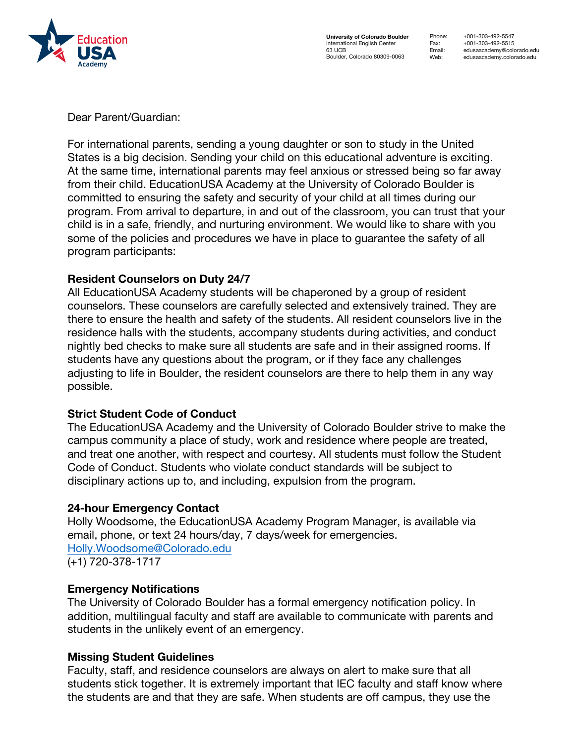

**University of Colorado Boulder** International English Center 63 UCB Boulder, Colorado 80309-0063

Phone: +001-303-492-5547 Fax: +001-303-492-5515<br>Email: edusaacademy@colo Email: edusaacademy@colorado.edu<br>Web: edusaacademy.colorado.edu edusaacademy.colorado.edu

Dear Parent/Guardian:

For international parents, sending a young daughter or son to study in the United States is a big decision. Sending your child on this educational adventure is exciting. At the same time, international parents may feel anxious or stressed being so far away from their child. EducationUSA Academy at the University of Colorado Boulder is committed to ensuring the safety and security of your child at all times during our program. From arrival to departure, in and out of the classroom, you can trust that your child is in a safe, friendly, and nurturing environment. We would like to share with you some of the policies and procedures we have in place to guarantee the safety of all program participants:

#### **Resident Counselors on Duty 24/7**

All EducationUSA Academy students will be chaperoned by a group of resident counselors. These counselors are carefully selected and extensively trained. They are there to ensure the health and safety of the students. All resident counselors live in the residence halls with the students, accompany students during activities, and conduct nightly bed checks to make sure all students are safe and in their assigned rooms. If students have any questions about the program, or if they face any challenges adjusting to life in Boulder, the resident counselors are there to help them in any way possible.

# **Strict Student Code of Conduct**

The EducationUSA Academy and the University of Colorado Boulder strive to make the campus community a place of study, work and residence where people are treated, and treat one another, with respect and courtesy. All students must follow the Student Code of Conduct. Students who violate conduct standards will be subject to disciplinary actions up to, and including, expulsion from the program.

#### **24-hour Emergency Contact**

Holly Woodsome, the EducationUSA Academy Program Manager, is available via email, phone, or text 24 hours/day, 7 days/week for emergencies. Holly.Woodsome@Colorado.edu (+1) 720-378-1717

#### **Emergency Notifications**

The University of Colorado Boulder has a formal emergency notification policy. In addition, multilingual faculty and staff are available to communicate with parents and students in the unlikely event of an emergency.

# **Missing Student Guidelines**

Faculty, staff, and residence counselors are always on alert to make sure that all students stick together. It is extremely important that IEC faculty and staff know where the students are and that they are safe. When students are off campus, they use the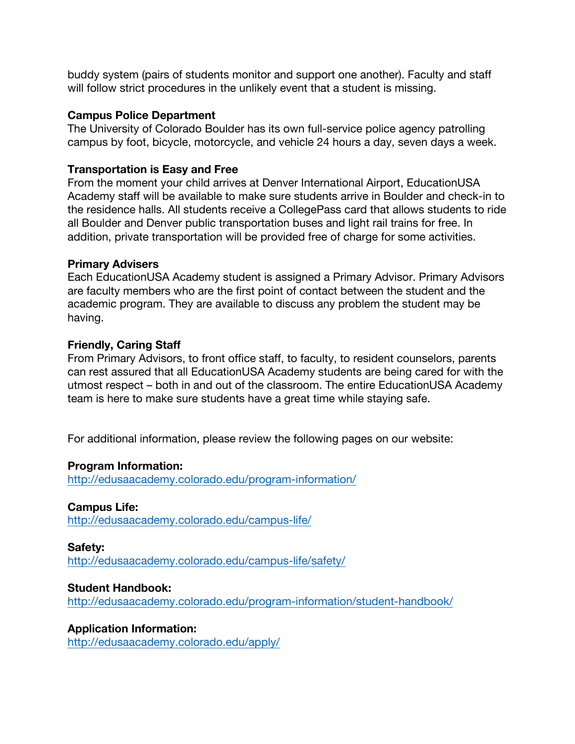buddy system (pairs of students monitor and support one another). Faculty and staff will follow strict procedures in the unlikely event that a student is missing.

## **Campus Police Department**

The University of Colorado Boulder has its own full-service police agency patrolling campus by foot, bicycle, motorcycle, and vehicle 24 hours a day, seven days a week.

# **Transportation is Easy and Free**

From the moment your child arrives at Denver International Airport, EducationUSA Academy staff will be available to make sure students arrive in Boulder and check-in to the residence halls. All students receive a CollegePass card that allows students to ride all Boulder and Denver public transportation buses and light rail trains for free. In addition, private transportation will be provided free of charge for some activities.

#### **Primary Advisers**

Each EducationUSA Academy student is assigned a Primary Advisor. Primary Advisors are faculty members who are the first point of contact between the student and the academic program. They are available to discuss any problem the student may be having.

### **Friendly, Caring Staff**

From Primary Advisors, to front office staff, to faculty, to resident counselors, parents can rest assured that all EducationUSA Academy students are being cared for with the utmost respect – both in and out of the classroom. The entire EducationUSA Academy team is here to make sure students have a great time while staying safe.

For additional information, please review the following pages on our website:

#### **Program Information:**

http://edusaacademy.colorado.edu/program-information/

#### **Campus Life:**

http://edusaacademy.colorado.edu/campus-life/

**Safety:** http://edusaacademy.colorado.edu/campus-life/safety/

#### **Student Handbook:**

http://edusaacademy.colorado.edu/program-information/student-handbook/

#### **Application Information:**

http://edusaacademy.colorado.edu/apply/